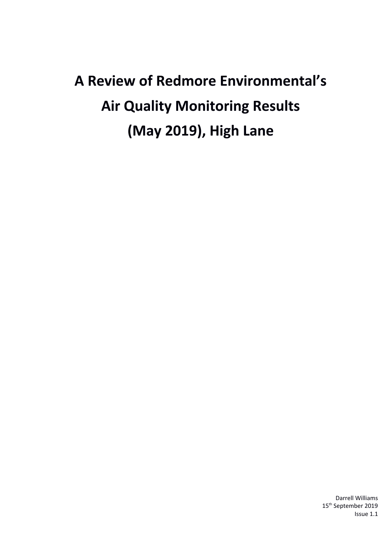# **A Review of Redmore Environmental's Air Quality Monitoring Results (May 2019), High Lane**

Darrell Williams 15<sup>th</sup> September 2019 Issue 1.1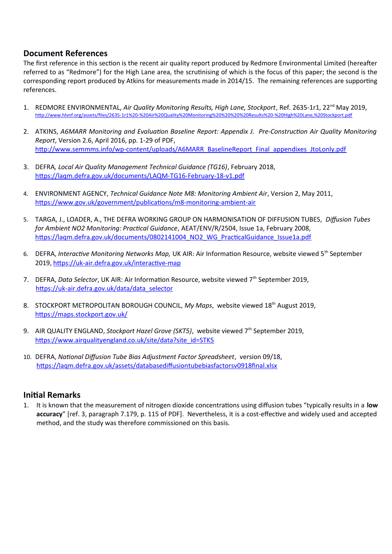## **Document References**

The first reference in this section is the recent air quality report produced by Redmore Environmental Limited (hereafter referred to as "Redmore") for the High Lane area, the scrutinising of which is the focus of this paper; the second is the corresponding report produced by Atkins for measurements made in 2014/15. The remaining references are supporting references.

- 1. REDMORE ENVIRONMENTAL, *Air Quality Monitoring Results, High Lane, Stockport*, Ref. 2635-1r1, 22nd May 2019, [http://www.hlvnf.org/assets/files/2635-1r1%20-%20Air%20Quality%20Monitoring%20%20%20%20Results%20-%20High%20Lane,%20Stockport.pdf](http://www.hlvnf.org/assets/files/2635-1r1%20-%20Air%20Quality%20Monitoring%20Results%20-%20High%20Lane,%20Stockport.pdf)
- 2. ATKINS, *A6MARR Monitoring and Evaluation Baseline Report: Appendix J. Pre-Construction Air Quality Monitoring Report*, Version 2.6, April 2016, pp. 1-29 of PDF, [http://www.semmms.info/wp-content/uploads/A6MARR\\_BaselineReport\\_Final\\_appendixes\\_JtoLonly.pdf](http://www.semmms.info/wp-content/uploads/A6MARR_BaselineReport_Final_appendixes_JtoLonly.pdf)
- 3. DEFRA*, Local Air Quality Management Technical Guidance (TG16)*, February 2018, <https://laqm.defra.gov.uk/documents/LAQM-TG16-February-18-v1.pdf>
- 4. ENVIRONMENT AGENCY, *Technical Guidance Note M8: Monitoring Ambient Air*, Version 2, May 2011, <https://www.gov.uk/government/publications/m8-monitoring-ambient-air>
- 5. TARGA, J., LOADER, A., THE DEFRA WORKING GROUP ON HARMONISATION OF DIFFUSION TUBES, *Diffusion Tubes for Ambient NO2 Monitoring: Practical Guidance*, AEAT/ENV/R/2504, Issue 1a, February 2008, [https://laqm.defra.gov.uk/documents/0802141004\\_NO2\\_WG\\_PracticalGuidance\\_Issue1a.pdf](https://laqm.defra.gov.uk/documents/0802141004_NO2_WG_PracticalGuidance_Issue1a.pdf)
- 6. DEFRA, Interactive Monitoring Networks Map, UK AIR: Air Information Resource, website viewed 5<sup>th</sup> September 2019, <https://uk-air.defra.gov.uk/interactive-map>
- 7. DEFRA, *Data Selector*, UK AIR: Air Information Resource, website viewed 7<sup>th</sup> September 2019, [https://uk-air.defra.gov.uk/data/data\\_selector](https://uk-air.defra.gov.uk/data/data_selector)
- 8. STOCKPORT METROPOLITAN BOROUGH COUNCIL, My Maps, website viewed 18<sup>th</sup> August 2019, <https://maps.stockport.gov.uk/>
- 9. AIR QUALITY ENGLAND, *Stockport Hazel Grove (SKT5)*, website viewed 7<sup>th</sup> September 2019, [https://www.airqualityengland.co.uk/site/data?site\\_id=STK5](https://www.airqualityengland.co.uk/site/data?site_id=STK5)
- 10. DEFRA, *National Diffusion Tube Bias Adjustment Factor Spreadsheet*, version 09/18, <https://laqm.defra.gov.uk/assets/databasediffusiontubebiasfactorsv0918final.xlsx>

## **Initial Remarks**

1. It is known that the measurement of nitrogen dioxide concentrations using diffusion tubes "typically results in a **low accuracy**" [ref. 3, paragraph 7.179, p. 115 of PDF]. Nevertheless, it is a cost-effective and widely used and accepted method, and the study was therefore commissioned on this basis.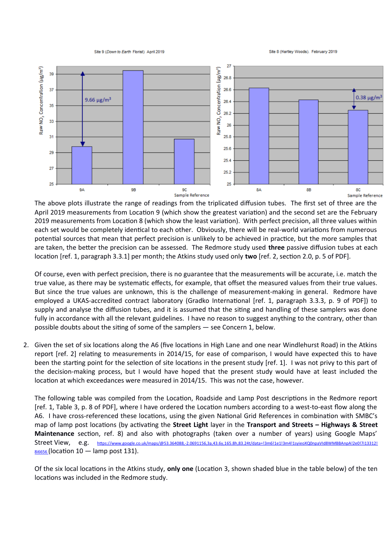Site 9 (Down to Earth Florist) April 2019

Site 8 (Hartley Woods). February 2019



The above plots illustrate the range of readings from the triplicated diffusion tubes. The first set of three are the April 2019 measurements from Location 9 (which show the greatest variation) and the second set are the February 2019 measurements from Location 8 (which show the least variation). With perfect precision, all three values within each set would be completely identical to each other. Obviously, there will be real-world variations from numerous potential sources that mean that perfect precision is unlikely to be achieved in practice, but the more samples that are taken, the better the precision can be assessed. The Redmore study used **three** passive diffusion tubes at each location [ref. 1, paragraph 3.3.1] per month; the Atkins study used only **two** [ref. 2, section 2.0, p. 5 of PDF].

Of course, even with perfect precision, there is no guarantee that the measurements will be accurate, i.e. match the true value, as there may be systematic effects, for example, that offset the measured values from their true values. But since the true values are unknown, this is the challenge of measurement-making in general. Redmore have employed a UKAS-accredited contract laboratory (Gradko International [ref. 1, paragraph 3.3.3, p. 9 of PDF]) to supply and analyse the diffusion tubes, and it is assumed that the siting and handling of these samplers was done fully in accordance with all the relevant guidelines. I have no reason to suggest anything to the contrary, other than possible doubts about the siting of some of the samplers — see Concern 1, below.

2. Given the set of six locations along the A6 (five locations in High Lane and one near Windlehurst Road) in the Atkins report [ref. 2] relating to measurements in 2014/15, for ease of comparison, I would have expected this to have been the starting point for the selection of site locations in the present study [ref. 1]. I was not privy to this part of the decision-making process, but I would have hoped that the present study would have at least included the location at which exceedances were measured in 2014/15. This was not the case, however.

The following table was compiled from the Location, Roadside and Lamp Post descriptions in the Redmore report [ref. 1, Table 3, p. 8 of PDF], where I have ordered the Location numbers according to a west-to-east flow along the A6. I have cross-referenced these locations, using the given National Grid References in combination with SMBC's map of lamp post locations (by activating the **Street Light** layer in the **Transport and Streets – Highways & Street Maintenance** section, ref. 8) and also with photographs (taken over a number of years) using Google Maps' Street View, e.g. [https://www.google.co.uk/maps/@53.364088,-2.0691156,3a,43.6y,165.8h,83.24t/data=!3m6!1e1!3m4!1syieoXQ0npaVId8WMBBAnpA!2e0!7i13312!](https://www.google.co.uk/maps/@53.364088,-2.0691156,3a,43.6y,165.8h,83.24t/data=!3m6!1e1!3m4!1syieoXQ0npaVId8WMBBAnpA!2e0!7i13312!8i6656)  $8i6656$  (location 10 – lamp post 131).

Of the six local locations in the Atkins study, **only one** (Location 3, shown shaded blue in the table below) of the ten locations was included in the Redmore study.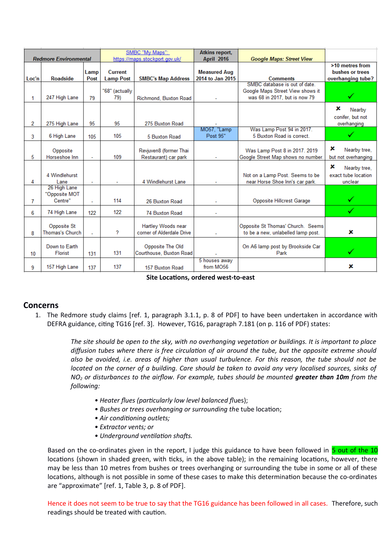| <b>Redmore Environmental</b> |                                          |              | SMBC "My Maps":<br>https://maps.stockport.gov.uk/ |                                                 | <b>Atkins report,</b><br><b>April 2016</b> | <b>Google Maps: Street View</b>                                         |                                                         |
|------------------------------|------------------------------------------|--------------|---------------------------------------------------|-------------------------------------------------|--------------------------------------------|-------------------------------------------------------------------------|---------------------------------------------------------|
| Loc'n                        | <b>Roadside</b>                          | Lamp<br>Post | <b>Current</b><br><b>Lamp Post</b>                | <b>SMBC's Map Address</b>                       | <b>Measured Aug</b><br>2014 to Jan 2015    | <b>Comments</b><br>SMBC database is out of date.                        | >10 metres from<br>bushes or trees<br>overhanging tube? |
| 1.                           | 247 High Lane                            | 79           | "68" (actually<br>79)                             | Richmond, Buxton Road                           |                                            | Google Maps Street View shows it<br>was 68 in 2017, but is now 79       |                                                         |
| 2                            | 275 High Lane                            | 95           | 95                                                | 275 Buxton Road                                 |                                            |                                                                         | ×<br>Nearby<br>conifer, but not<br>overhanging          |
| 3                            | 6 High Lane                              | 105          | 105                                               | 5 Buxton Road                                   | MO57, "Lamp<br>Post 95"                    | Was Lamp Post 94 in 2017.<br>5 Buxton Road is correct.                  | ✓                                                       |
| 5                            | Opposite<br>Horseshoe Inn                | ٠            | 109                                               | Revjuven8 (former Thai<br>Restaurant) car park  |                                            | Was Lamp Post 8 in 2017. 2019<br>Google Street Map shows no number.     | x<br>Nearby tree,<br>but not overhanging                |
| 4                            | 4 Windlehurst<br>Lane                    |              |                                                   | 4 Windlehurst Lane                              |                                            | Not on a Lamp Post. Seems to be<br>near Horse Shoe Inn's car park.      | ×<br>Nearby tree,<br>exact tube location<br>unclear     |
| 7                            | 26 High Lane<br>"Opposite MOT<br>Centre" | ÷.           | 114                                               | 26 Buxton Road                                  |                                            | Opposite Hillcrest Garage                                               |                                                         |
| 6                            | 74 High Lane                             | 122          | 122                                               | 74 Buxton Road                                  |                                            |                                                                         |                                                         |
| 8                            | Opposite St<br><b>Thomas's Church</b>    | ٠            | ?                                                 | Hartley Woods near<br>corner of Alderdale Drive |                                            | Opposite St Thomas' Church. Seems<br>to be a new, unlabelled lamp post. | ×                                                       |
| 10                           | Down to Earth<br><b>Florist</b>          | 131          | 131                                               | Opposite The Old<br>Courthouse, Buxton Road     |                                            | On A6 lamp post by Brookside Car<br>Park                                | ✓                                                       |
| 9                            | 157 High Lane                            | 137          | 137                                               | 157 Buxton Road                                 | 5 houses away<br>from MO56                 |                                                                         | x                                                       |

**Site Locations, ordered west-to-east**

#### **Concerns**

1. The Redmore study claims [ref. 1, paragraph 3.1.1, p. 8 of PDF] to have been undertaken in accordance with DEFRA guidance, citing TG16 [ref. 3]. However, TG16, paragraph 7.181 (on p. 116 of PDF) states:

> *The site should be open to the sky, with no overhanging vegetation or buildings. It is important to place diffusion tubes where there is free circulation of air around the tube, but the opposite extreme should also be avoided, i.e. areas of higher than usual turbulence. For this reason, the tube should not be located on the corner of a building. Care should be taken to avoid any very localised sources, sinks of NO2 or disturbances to the airflow. For example, tubes should be mounted greater than 10m from the following:*

- *Heater flues (particularly low level balanced fl*ues);
- *Bushes or trees overhanging or surrounding th*e tube location;
- *Air conditioning outlets;*
- *Extractor vents; or*
- *Underground ventilation shafts.*

Based on the co-ordinates given in the report, I judge this guidance to have been followed in 5 out of the 10 locations (shown in shaded green, with ticks, in the above table); in the remaining locations, however, there may be less than 10 metres from bushes or trees overhanging or surrounding the tube in some or all of these locations, although is not possible in some of these cases to make this determination because the co-ordinates are "approximate" [ref. 1, Table 3, p. 8 of PDF].

Hence it does not seem to be true to say that the TG16 guidance has been followed in all cases. Therefore, such readings should be treated with caution.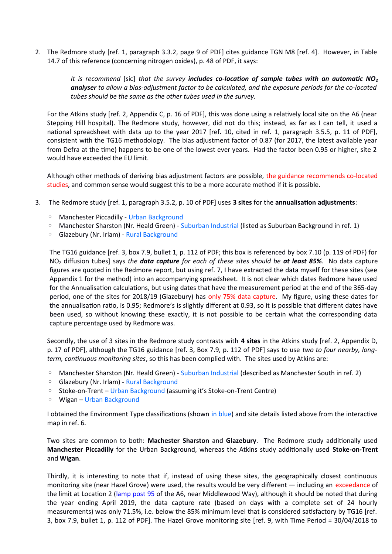2. The Redmore study [ref. 1, paragraph 3.3.2, page 9 of PDF] cites guidance TGN M8 [ref. 4]. However, in Table 14.7 of this reference (concerning nitrogen oxides), p. 48 of PDF, it says:

> *It is recommend* [sic] *that the survey includes co-location of sample tubes with an automatic NO<sup>2</sup> analyser to allow a bias-adjustment factor to be calculated, and the exposure periods for the co-located tubes should be the same as the other tubes used in the survey.*

For the Atkins study [ref. 2, Appendix C, p. 16 of PDF], this was done using a relatively local site on the A6 (near Stepping Hill hospital). The Redmore study, however, did not do this; instead, as far as I can tell, it used a national spreadsheet with data up to the year 2017 [ref. 10, cited in ref. 1, paragraph 3.5.5, p. 11 of PDF], consistent with the TG16 methodology. The bias adjustment factor of 0.87 (for 2017, the latest available year from Defra at the time) happens to be one of the lowest ever years. Had the factor been 0.95 or higher, site 2 would have exceeded the EU limit.

Although other methods of deriving bias adjustment factors are possible, the guidance recommends co-located studies, and common sense would suggest this to be a more accurate method if it is possible.

- 3. The Redmore study [ref. 1, paragraph 3.5.2, p. 10 of PDF] uses **3 sites** for the **annualisation adjustments**:
	- Manchester Piccadilly Urban Background
	- Manchester Sharston (Nr. Heald Green) Suburban Industrial (listed as Suburban Background in ref. 1)
	- Glazebury (Nr. Irlam) Rural Background

The TG16 guidance [ref. 3, box 7.9, bullet 1, p. 112 of PDF; this box is referenced by box 7.10 (p. 119 of PDF) for NO2 diffusion tubes] says *the data capture for each of these sites should be at least 85%.* No data capture figures are quoted in the Redmore report, but using ref. 7, I have extracted the data myself for these sites (see Appendix 1 for the method) into an accompanying spreadsheet. It is not clear which dates Redmore have used for the Annualisation calculations, but using dates that have the measurement period at the end of the 365-day period, one of the sites for 2018/19 (Glazebury) has only 75% data capture. My figure, using these dates for the annualisation ratio, is 0.95; Redmore's is slightly different at 0.93, so it is possible that different dates have been used, so without knowing these exactly, it is not possible to be certain what the corresponding data capture percentage used by Redmore was.

Secondly, the use of 3 sites in the Redmore study contrasts with **4 sites** in the Atkins study [ref. 2, Appendix D, p. 17 of PDF], although the TG16 guidance [ref. 3, Box 7.9, p. 112 of PDF] says to use *two to four nearby, longterm, continuous monitoring sites*, so this has been complied with. The sites used by Atkins are:

- Manchester Sharston (Nr. Heald Green) Suburban Industrial (described as Manchester South in ref. 2)
- Glazebury (Nr. Irlam) Rural Background
- Stoke-on-Trent Urban Background (assuming it's Stoke-on-Trent Centre)
- Wigan Urban Background

I obtained the Environment Type classifications (shown in blue) and site details listed above from the interactive map in ref. 6.

Two sites are common to both: **Machester Sharston** and **Glazebury**. The Redmore study additionally used **Manchester Piccadilly** for the Urban Background, whereas the Atkins study additionally used **Stoke-on-Trent** and **Wigan**.

Thirdly, it is interesting to note that if, instead of using these sites, the geographically closest continuous monitoring site (near Hazel Grove) were used, the results would be very different — including an exceedance of the limit at Location 2 [\(lamp post 95](https://www.google.co.uk/maps/@53.3668726,-2.0847692,3a,39.6y,41.59h,84.26t/data=!3m6!1e1!3m4!1swg-QPB94pezVWVeGDgXcpg!2e0!7i13312!8i6656) of the A6, near Middlewood Way), although it should be noted that during the year ending April 2019, the data capture rate (based on days with a complete set of 24 hourly measurements) was only 71.5%, i.e. below the 85% minimum level that is considered satisfactory by TG16 [ref. 3, box 7.9, bullet 1, p. 112 of PDF]. The Hazel Grove monitoring site [ref. 9, with Time Period = 30/04/2018 to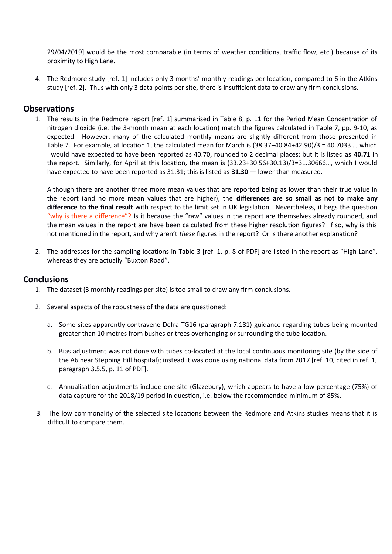29/04/2019] would be the most comparable (in terms of weather conditions, traffic flow, etc.) because of its proximity to High Lane.

4. The Redmore study [ref. 1] includes only 3 months' monthly readings per location, compared to 6 in the Atkins study [ref. 2]. Thus with only 3 data points per site, there is insufficient data to draw any firm conclusions.

#### **Observations**

1. The results in the Redmore report [ref. 1] summarised in Table 8, p. 11 for the Period Mean Concentration of nitrogen dioxide (i.e. the 3-month mean at each location) match the figures calculated in Table 7, pp. 9-10, as expected. However, many of the calculated monthly means are slightly different from those presented in Table 7. For example, at location 1, the calculated mean for March is (38.37+40.84+42.90)/3 = 40.7033…, which I would have expected to have been reported as 40.70, rounded to 2 decimal places; but it is listed as **40.71** in the report. Similarly, for April at this location, the mean is (33.23+30.56+30.13)/3=31.30666…, which I would have expected to have been reported as 31.31; this is listed as **31.30** — lower than measured.

Although there are another three more mean values that are reported being as lower than their true value in the report (and no more mean values that are higher), the **differences are so small as not to make any difference to the final result** with respect to the limit set in UK legislation. Nevertheless, it begs the question "why is there a difference"? Is it because the "raw" values in the report are themselves already rounded, and the mean values in the report are have been calculated from these higher resolution figures? If so, why is this not mentioned in the report, and why aren't *these* figures in the report? Or is there another explanation?

2. The addresses for the sampling locations in Table 3 [ref. 1, p. 8 of PDF] are listed in the report as "High Lane", whereas they are actually "Buxton Road".

#### **Conclusions**

- 1. The dataset (3 monthly readings per site) is too small to draw any firm conclusions.
- 2. Several aspects of the robustness of the data are questioned:
	- a. Some sites apparently contravene Defra TG16 (paragraph 7.181) guidance regarding tubes being mounted greater than 10 metres from bushes or trees overhanging or surrounding the tube location.
	- b. Bias adjustment was not done with tubes co-located at the local continuous monitoring site (by the side of the A6 near Stepping Hill hospital); instead it was done using national data from 2017 [ref. 10, cited in ref. 1, paragraph 3.5.5, p. 11 of PDF].
	- c. Annualisation adjustments include one site (Glazebury), which appears to have a low percentage (75%) of data capture for the 2018/19 period in question, i.e. below the recommended minimum of 85%.
- 3. The low commonality of the selected site locations between the Redmore and Atkins studies means that it is difficult to compare them.